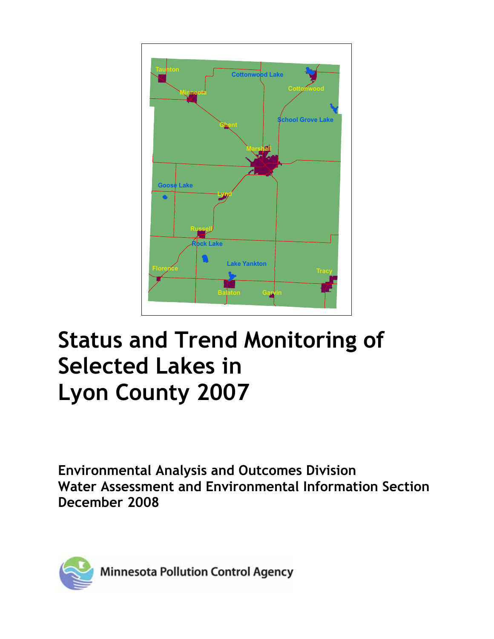

# **Status and Trend Monitoring of Selected Lakes in Lyon County 2007**

**Environmental Analysis and Outcomes Division Water Assessment and Environmental Information Section December 2008** 



**Minnesota Pollution Control Agency**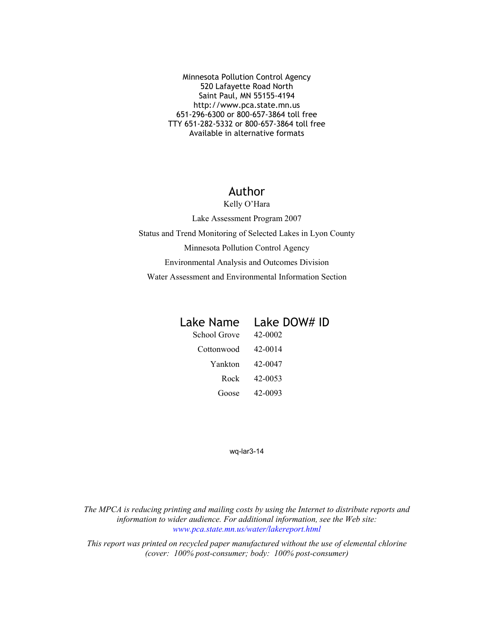Minnesota Pollution Control Agency 520 Lafayette Road North Saint Paul, MN 55155-4194 http://www.pca.state.mn.us 651-296-6300 or 800-657-3864 toll free TTY 651-282-5332 or 800-657-3864 toll free Available in alternative formats

#### Author

Kelly O'Hara

Lake Assessment Program 2007 Status and Trend Monitoring of Selected Lakes in Lyon County Minnesota Pollution Control Agency Environmental Analysis and Outcomes Division Water Assessment and Environmental Information Section

| Lake Name | Lake DOW# ID |
|-----------|--------------|
|-----------|--------------|

| School Grove | 42-0002 |
|--------------|---------|
| Cottonwood   | 42-0014 |
| Yankton      | 42-0047 |
| Rock         | 42-0053 |
| Goose        | 42-0093 |

wq-lar3-14

*The MPCA is reducing printing and mailing costs by using the Internet to distribute reports and information to wider audience. For additional information, see the Web site: [www.pca.state.mn.us/water/lakereport.html](http://www.pca.state.mn.us/water/lakereport.html)*

*This report was printed on recycled paper manufactured without the use of elemental chlorine (cover: 100% post-consumer; body: 100% post-consumer)*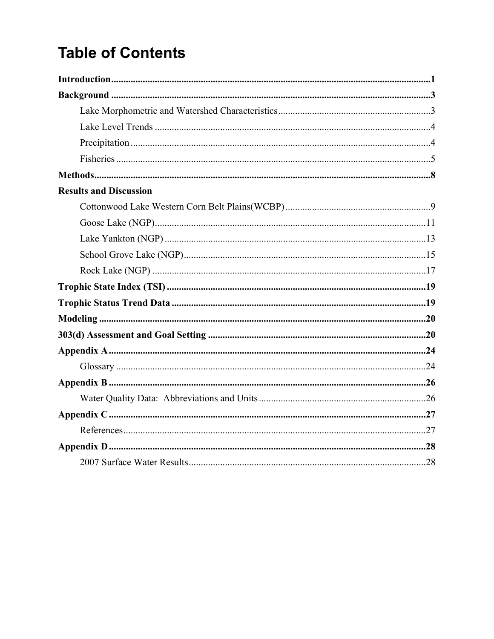## **Table of Contents**

| <b>Results and Discussion</b> |  |
|-------------------------------|--|
|                               |  |
|                               |  |
|                               |  |
|                               |  |
|                               |  |
|                               |  |
|                               |  |
|                               |  |
|                               |  |
|                               |  |
|                               |  |
|                               |  |
|                               |  |
|                               |  |
|                               |  |
|                               |  |
|                               |  |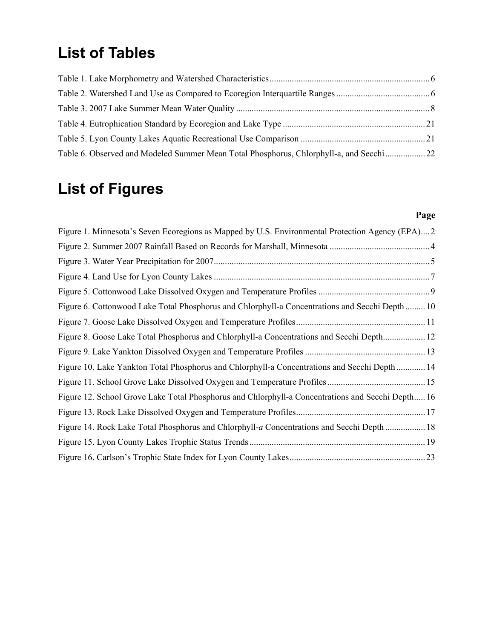### **List of Tables**

| Table 6. Observed and Modeled Summer Mean Total Phosphorus, Chlorphyll-a, and Secchi 22 |  |
|-----------------------------------------------------------------------------------------|--|

## **List of Figures**

### **Page**

| Figure 1. Minnesota's Seven Ecoregions as Mapped by U.S. Environmental Protection Agency (EPA)2   |  |
|---------------------------------------------------------------------------------------------------|--|
|                                                                                                   |  |
|                                                                                                   |  |
|                                                                                                   |  |
|                                                                                                   |  |
| Figure 6. Cottonwood Lake Total Phosphorus and Chlorphyll-a Concentrations and Secchi Depth  10   |  |
|                                                                                                   |  |
| Figure 8. Goose Lake Total Phosphorus and Chlorphyll-a Concentrations and Secchi Depth 12         |  |
|                                                                                                   |  |
| Figure 10. Lake Yankton Total Phosphorus and Chlorphyll-a Concentrations and Secchi Depth 14      |  |
|                                                                                                   |  |
| Figure 12. School Grove Lake Total Phosphorus and Chlorphyll-a Concentrations and Secchi Depth 16 |  |
|                                                                                                   |  |
| Figure 14. Rock Lake Total Phosphorus and Chlorphyll-a Concentrations and Secchi Depth  18        |  |
|                                                                                                   |  |
|                                                                                                   |  |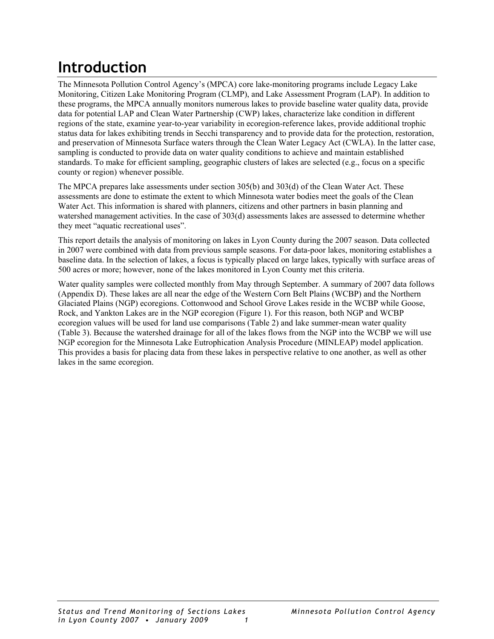## <span id="page-4-0"></span>**Introduction**

The Minnesota Pollution Control Agency's (MPCA) core lake-monitoring programs include Legacy Lake Monitoring, Citizen Lake Monitoring Program (CLMP), and Lake Assessment Program (LAP). In addition to these programs, the MPCA annually monitors numerous lakes to provide baseline water quality data, provide data for potential LAP and Clean Water Partnership (CWP) lakes, characterize lake condition in different regions of the state, examine year-to-year variability in ecoregion-reference lakes, provide additional trophic status data for lakes exhibiting trends in Secchi transparency and to provide data for the protection, restoration, and preservation of Minnesota Surface waters through the Clean Water Legacy Act (CWLA). In the latter case, sampling is conducted to provide data on water quality conditions to achieve and maintain established standards. To make for efficient sampling, geographic clusters of lakes are selected (e.g., focus on a specific county or region) whenever possible.

The MPCA prepares lake assessments under section 305(b) and 303(d) of the Clean Water Act. These assessments are done to estimate the extent to which Minnesota water bodies meet the goals of the Clean Water Act. This information is shared with planners, citizens and other partners in basin planning and watershed management activities. In the case of 303(d) assessments lakes are assessed to determine whether they meet "aquatic recreational uses".

This report details the analysis of monitoring on lakes in Lyon County during the 2007 season. Data collected in 2007 were combined with data from previous sample seasons. For data-poor lakes, monitoring establishes a baseline data. In the selection of lakes, a focus is typically placed on large lakes, typically with surface areas of 500 acres or more; however, none of the lakes monitored in Lyon County met this criteria.

Water quality samples were collected monthly from May through September. A summary of 2007 data follows (Appendix D). These lakes are all near the edge of the Western Corn Belt Plains (WCBP) and the Northern Glaciated Plains (NGP) ecoregions. Cottonwood and School Grove Lakes reside in the WCBP while Goose, Rock, and Yankton Lakes are in the NGP ecoregion (Figure 1). For this reason, both NGP and WCBP ecoregion values will be used for land use comparisons (Table 2) and lake summer-mean water quality (Table 3). Because the watershed drainage for all of the lakes flows from the NGP into the WCBP we will use NGP ecoregion for the Minnesota Lake Eutrophication Analysis Procedure (MINLEAP) model application. This provides a basis for placing data from these lakes in perspective relative to one another, as well as other lakes in the same ecoregion.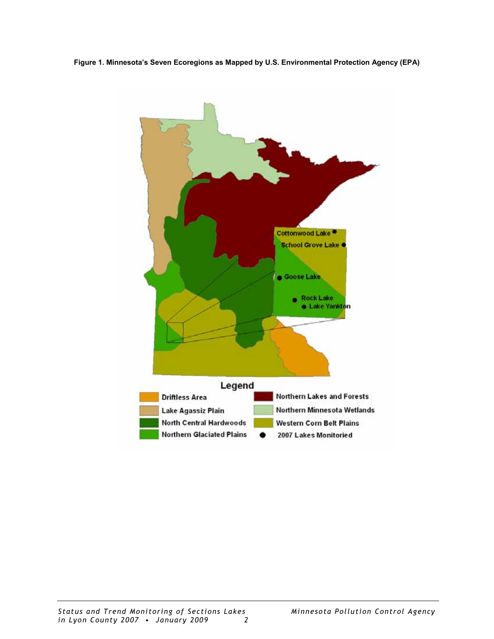<span id="page-5-0"></span>**Figure 1. Minnesota's Seven Ecoregions as Mapped by U.S. Environmental Protection Agency (EPA)** 

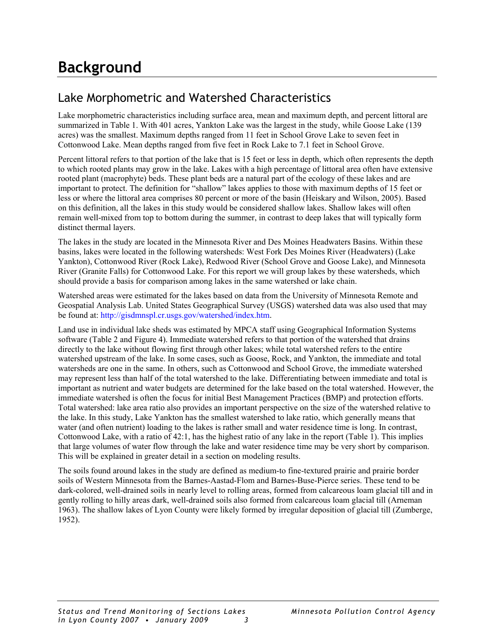### <span id="page-6-0"></span>**Background**

### Lake Morphometric and Watershed Characteristics

Lake morphometric characteristics including surface area, mean and maximum depth, and percent littoral are summarized in Table 1. With 401 acres, Yankton Lake was the largest in the study, while Goose Lake (139 acres) was the smallest. Maximum depths ranged from 11 feet in School Grove Lake to seven feet in Cottonwood Lake. Mean depths ranged from five feet in Rock Lake to 7.1 feet in School Grove.

Percent littoral refers to that portion of the lake that is 15 feet or less in depth, which often represents the depth to which rooted plants may grow in the lake. Lakes with a high percentage of littoral area often have extensive rooted plant (macrophyte) beds. These plant beds are a natural part of the ecology of these lakes and are important to protect. The definition for "shallow" lakes applies to those with maximum depths of 15 feet or less or where the littoral area comprises 80 percent or more of the basin (Heiskary and Wilson, 2005). Based on this definition, all the lakes in this study would be considered shallow lakes. Shallow lakes will often remain well-mixed from top to bottom during the summer, in contrast to deep lakes that will typically form distinct thermal layers.

The lakes in the study are located in the Minnesota River and Des Moines Headwaters Basins. Within these basins, lakes were located in the following watersheds: West Fork Des Moines River (Headwaters) (Lake Yankton), Cottonwood River (Rock Lake), Redwood River (School Grove and Goose Lake), and Minnesota River (Granite Falls) for Cottonwood Lake. For this report we will group lakes by these watersheds, which should provide a basis for comparison among lakes in the same watershed or lake chain.

Watershed areas were estimated for the lakes based on data from the University of Minnesota Remote and Geospatial Analysis Lab. United States Geographical Survey (USGS) watershed data was also used that may be found at: <http://gisdmnspl.cr.usgs.gov/watershed/index.htm>.

Land use in individual lake sheds was estimated by MPCA staff using Geographical Information Systems software (Table 2 and Figure 4). Immediate watershed refers to that portion of the watershed that drains directly to the lake without flowing first through other lakes; while total watershed refers to the entire watershed upstream of the lake. In some cases, such as Goose, Rock, and Yankton, the immediate and total watersheds are one in the same. In others, such as Cottonwood and School Grove, the immediate watershed may represent less than half of the total watershed to the lake. Differentiating between immediate and total is important as nutrient and water budgets are determined for the lake based on the total watershed. However, the immediate watershed is often the focus for initial Best Management Practices (BMP) and protection efforts. Total watershed: lake area ratio also provides an important perspective on the size of the watershed relative to the lake. In this study, Lake Yankton has the smallest watershed to lake ratio, which generally means that water (and often nutrient) loading to the lakes is rather small and water residence time is long. In contrast, Cottonwood Lake, with a ratio of 42:1, has the highest ratio of any lake in the report (Table 1). This implies that large volumes of water flow through the lake and water residence time may be very short by comparison. This will be explained in greater detail in a section on modeling results.

The soils found around lakes in the study are defined as medium-to fine-textured prairie and prairie border soils of Western Minnesota from the Barnes-Aastad-Flom and Barnes-Buse-Pierce series. These tend to be dark-colored, well-drained soils in nearly level to rolling areas, formed from calcareous loam glacial till and in gently rolling to hilly areas dark, well-drained soils also formed from calcareous loam glacial till (Arneman 1963). The shallow lakes of Lyon County were likely formed by irregular deposition of glacial till (Zumberge, 1952).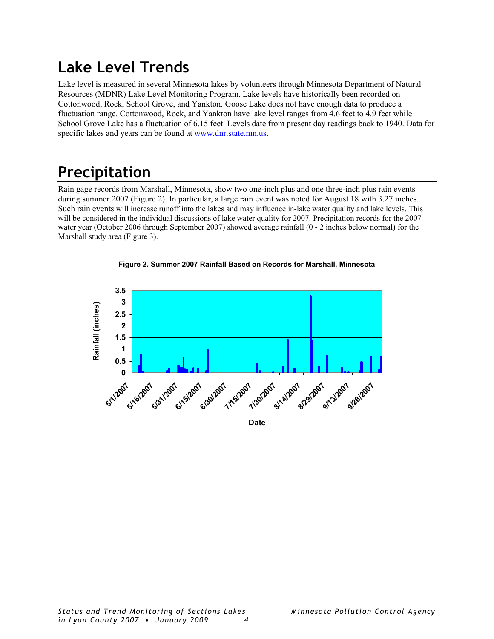### <span id="page-7-0"></span>**Lake Level Trends**

Lake level is measured in several Minnesota lakes by volunteers through Minnesota Department of Natural Resources (MDNR) Lake Level Monitoring Program. Lake levels have historically been recorded on Cottonwood, Rock, School Grove, and Yankton. Goose Lake does not have enough data to produce a fluctuation range. Cottonwood, Rock, and Yankton have lake level ranges from 4.6 feet to 4.9 feet while School Grove Lake has a fluctuation of 6.15 feet. Levels date from present day readings back to 1940. Data for specific lakes and years can be found at [www.dnr.state.mn.us](http://www.dnr.state.mn.us/).

## **Precipitation**

Rain gage records from Marshall, Minnesota, show two one-inch plus and one three-inch plus rain events during summer 2007 (Figure 2). In particular, a large rain event was noted for August 18 with 3.27 inches. Such rain events will increase runoff into the lakes and may influence in-lake water quality and lake levels. This will be considered in the individual discussions of lake water quality for 2007. Precipitation records for the 2007 water year (October 2006 through September 2007) showed average rainfall (0 - 2 inches below normal) for the Marshall study area (Figure 3).





**Date**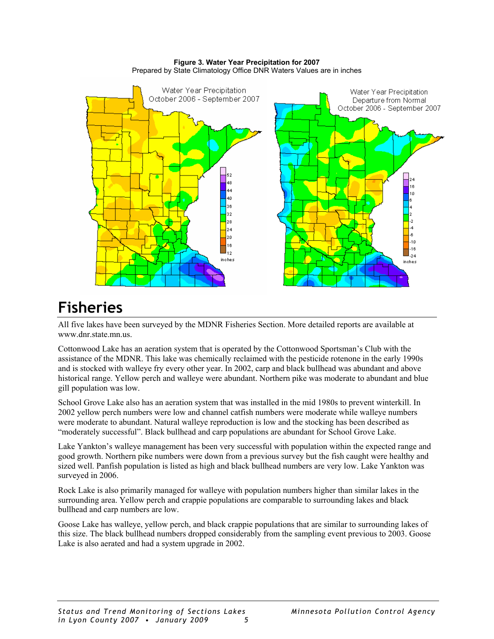#### **Figure 3. Water Year Precipitation for 2007**  Prepared by State Climatology Office DNR Waters Values are in inches

<span id="page-8-0"></span>

### **Fisheries**

All five lakes have been surveyed by the MDNR Fisheries Section. More detailed reports are available at [www.dnr.state.mn.us](http://www.dnr.state.mn.us/).

Cottonwood Lake has an aeration system that is operated by the Cottonwood Sportsman's Club with the assistance of the MDNR. This lake was chemically reclaimed with the pesticide rotenone in the early 1990s and is stocked with walleye fry every other year. In 2002, carp and black bullhead was abundant and above historical range. Yellow perch and walleye were abundant. Northern pike was moderate to abundant and blue gill population was low.

School Grove Lake also has an aeration system that was installed in the mid 1980s to prevent winterkill. In 2002 yellow perch numbers were low and channel catfish numbers were moderate while walleye numbers were moderate to abundant. Natural walleye reproduction is low and the stocking has been described as "moderately successful". Black bullhead and carp populations are abundant for School Grove Lake.

Lake Yankton's walleye management has been very successful with population within the expected range and good growth. Northern pike numbers were down from a previous survey but the fish caught were healthy and sized well. Panfish population is listed as high and black bullhead numbers are very low. Lake Yankton was surveyed in 2006.

Rock Lake is also primarily managed for walleye with population numbers higher than similar lakes in the surrounding area. Yellow perch and crappie populations are comparable to surrounding lakes and black bullhead and carp numbers are low.

Goose Lake has walleye, yellow perch, and black crappie populations that are similar to surrounding lakes of this size. The black bullhead numbers dropped considerably from the sampling event previous to 2003. Goose Lake is also aerated and had a system upgrade in 2002.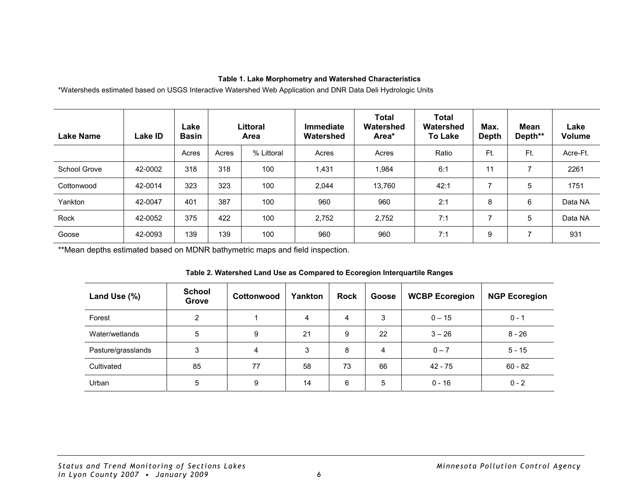#### **Table 1. Lake Morphometry and Watershed Characteristics**

\*Watersheds estimated based on USGS Interactive Watershed Web Application and DNR Data Deli Hydrologic Units

| <b>Lake Name</b> | Lake ID | Lake<br><b>Basin</b> | Littoral<br>Area |            | <b>Immediate</b><br>Watershed | <b>Total</b><br>Watershed<br>Area* | Total<br>Watershed<br><b>To Lake</b> | Max.<br><b>Depth</b> | Mean<br>Depth** | Lake<br>Volume |
|------------------|---------|----------------------|------------------|------------|-------------------------------|------------------------------------|--------------------------------------|----------------------|-----------------|----------------|
|                  |         | Acres                | Acres            | % Littoral | Acres                         | Acres                              | Ratio                                | Ft.                  | Ft.             | Acre-Ft.       |
| School Grove     | 42-0002 | 318                  | 318              | 100        | 1,431                         | 1,984                              | 6:1                                  | 11                   | ⇁               | 2261           |
| Cottonwood       | 42-0014 | 323                  | 323              | 100        | 2,044                         | 13,760                             | 42:1                                 | ∍                    | 5               | 1751           |
| Yankton          | 42-0047 | 401                  | 387              | 100        | 960                           | 960                                | 2:1                                  | 8                    | 6               | Data NA        |
| Rock             | 42-0052 | 375                  | 422              | 100        | 2,752                         | 2,752                              | 7:1                                  | ⇁                    | 5               | Data NA        |
| Goose            | 42-0093 | 139                  | 139              | 100        | 960                           | 960                                | 7:1                                  | 9                    | ⇁               | 931            |

\*\*Mean depths estimated based on MDNR bathymetric maps and field inspection.

<span id="page-9-0"></span>

| Land Use (%)       | <b>School</b><br>Grove | Cottonwood | Yankton | <b>Rock</b> | Goose | <b>WCBP Ecoregion</b> | <b>NGP Ecoregion</b> |
|--------------------|------------------------|------------|---------|-------------|-------|-----------------------|----------------------|
| Forest             | 2                      |            | 4       | 4           | 3     | $0 - 15$              | $0 - 1$              |
| Water/wetlands     | 5                      | 9          | 21      | 9           | 22    | $3 - 26$              | $8 - 26$             |
| Pasture/grasslands | 3                      | 4          | 3       | 8           | 4     | $0 - 7$               | $5 - 15$             |
| Cultivated         | 85                     | 77         | 58      | 73          | 66    | $42 - 75$             | $60 - 82$            |
| Urban              | 5                      | 9          | 14      | 6           | 5     | $0 - 16$              | $0 - 2$              |

#### **Table 2. Watershed Land Use as Compared to Ecoregion Interquartile Ranges**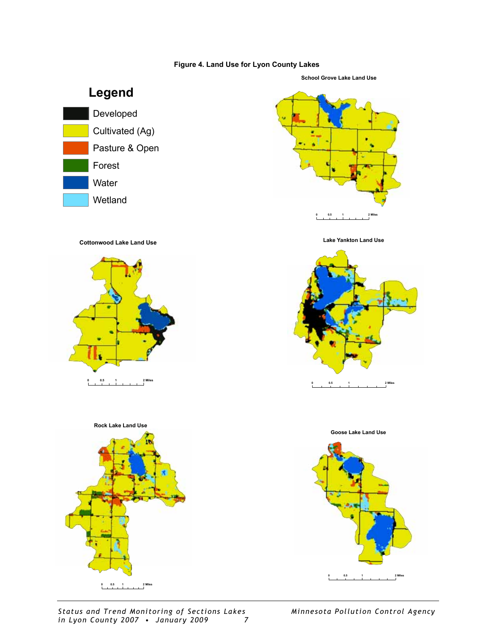#### **Figure 4. Land Use for Lyon County Lakes**

<span id="page-10-0"></span>

*Status and Trend Monitoring of Sections Lakes Minnesota Pollution Control Agency in Lyon County 2007 • January 2009 7* 

**012 0.5 Miles**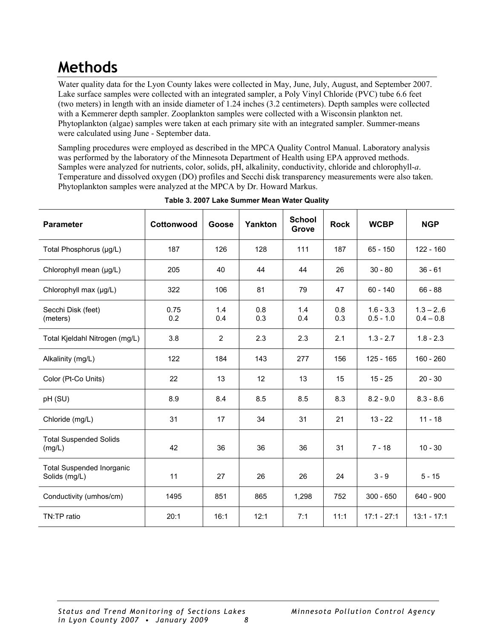### <span id="page-11-0"></span>**Methods**

Water quality data for the Lyon County lakes were collected in May, June, July, August, and September 2007. Lake surface samples were collected with an integrated sampler, a Poly Vinyl Chloride (PVC) tube 6.6 feet (two meters) in length with an inside diameter of 1.24 inches (3.2 centimeters). Depth samples were collected with a Kemmerer depth sampler. Zooplankton samples were collected with a Wisconsin plankton net. Phytoplankton (algae) samples were taken at each primary site with an integrated sampler. Summer-means were calculated using June - September data.

Sampling procedures were employed as described in the MPCA Quality Control Manual. Laboratory analysis was performed by the laboratory of the Minnesota Department of Health using EPA approved methods. Samples were analyzed for nutrients, color, solids, pH, alkalinity, conductivity, chloride and chlorophyll-*a*. Temperature and dissolved oxygen (DO) profiles and Secchi disk transparency measurements were also taken. Phytoplankton samples were analyzed at the MPCA by Dr. Howard Markus.

| <b>Parameter</b>                                  | Cottonwood  | Goose          | Yankton    | <b>School</b><br>Grove | <b>Rock</b> | <b>WCBP</b>                | <b>NGP</b>                 |
|---------------------------------------------------|-------------|----------------|------------|------------------------|-------------|----------------------------|----------------------------|
| Total Phosphorus (µg/L)                           | 187         | 126            | 128        | 111                    | 187         | $65 - 150$                 | $122 - 160$                |
| Chlorophyll mean (µg/L)                           | 205         | 40             | 44         | 44                     | 26          | $30 - 80$                  | $36 - 61$                  |
| Chlorophyll max (µg/L)                            | 322         | 106            | 81         | 79                     | 47          | $60 - 140$                 | $66 - 88$                  |
| Secchi Disk (feet)<br>(meters)                    | 0.75<br>0.2 | 1.4<br>0.4     | 0.8<br>0.3 | 1.4<br>0.4             | 0.8<br>0.3  | $1.6 - 3.3$<br>$0.5 - 1.0$ | $1.3 - 2.6$<br>$0.4 - 0.8$ |
| Total Kjeldahl Nitrogen (mg/L)                    | 3.8         | $\overline{2}$ | 2.3        | 2.3                    | 2.1         | $1.3 - 2.7$                | $1.8 - 2.3$                |
| Alkalinity (mg/L)                                 | 122         | 184            | 143        | 277                    | 156         | $125 - 165$                | $160 - 260$                |
| Color (Pt-Co Units)                               | 22          | 13             | 12         | 13                     | 15          | $15 - 25$                  | $20 - 30$                  |
| pH (SU)                                           | 8.9         | 8.4            | 8.5        | 8.5                    | 8.3         | $8.2 - 9.0$                | $8.3 - 8.6$                |
| Chloride (mg/L)                                   | 31          | 17             | 34         | 31                     | 21          | $13 - 22$                  | $11 - 18$                  |
| <b>Total Suspended Solids</b><br>(mg/L)           | 42          | 36             | 36         | 36                     | 31          | $7 - 18$                   | $10 - 30$                  |
| <b>Total Suspended Inorganic</b><br>Solids (mg/L) | 11          | 27             | 26         | 26                     | 24          | $3 - 9$                    | $5 - 15$                   |
| Conductivity (umhos/cm)                           | 1495        | 851            | 865        | 1,298                  | 752         | $300 - 650$                | 640 - 900                  |
| TN:TP ratio                                       | 20:1        | 16:1           | 12:1       | 7:1                    | 11:1        | $17:1 - 27:1$              | $13:1 - 17:1$              |

**Table 3. 2007 Lake Summer Mean Water Quality**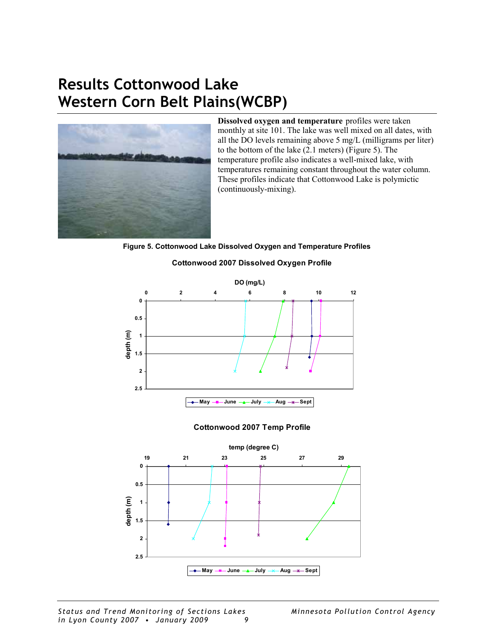### <span id="page-12-0"></span>**Results Cottonwood Lake Western Corn Belt Plains(WCBP)**



**Dissolved oxygen and temperature** profiles were taken monthly at site 101. The lake was well mixed on all dates, with all the DO levels remaining above 5 mg/L (milligrams per liter) to the bottom of the lake (2.1 meters) (Figure 5). The temperature profile also indicates a well-mixed lake, with temperatures remaining constant throughout the water column. These profiles indicate that Cottonwood Lake is polymictic (continuously-mixing).

**Figure 5. Cottonwood Lake Dissolved Oxygen and Temperature Profiles** 

#### **Cottonwood 2007 Dissolved Oxygen Profile**



#### **Cottonwood 2007 Temp Profile**

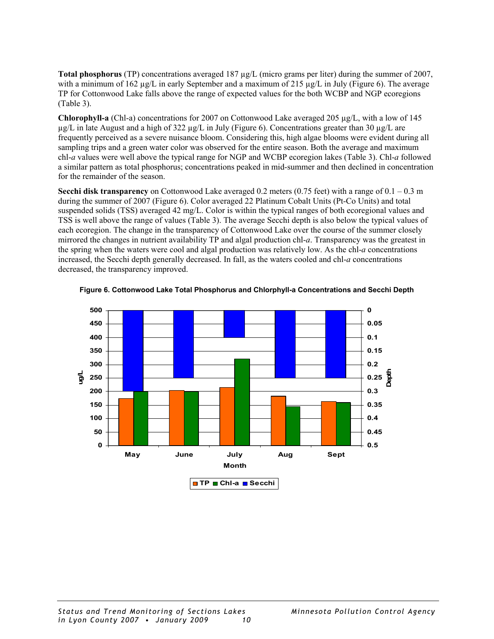<span id="page-13-0"></span>**Total phosphorus** (TP) concentrations averaged 187 µg/L (micro grams per liter) during the summer of 2007, with a minimum of 162  $\mu$ g/L in early September and a maximum of 215  $\mu$ g/L in July (Figure 6). The average TP for Cottonwood Lake falls above the range of expected values for the both WCBP and NGP ecoregions (Table 3).

**Chlorophyll-a** (Chl-a) concentrations for 2007 on Cottonwood Lake averaged 205 µg/L, with a low of 145  $\mu$ g/L in late August and a high of 322  $\mu$ g/L in July (Figure 6). Concentrations greater than 30  $\mu$ g/L are frequently perceived as a severe nuisance bloom. Considering this, high algae blooms were evident during all sampling trips and a green water color was observed for the entire season. Both the average and maximum chl-*a* values were well above the typical range for NGP and WCBP ecoregion lakes (Table 3). Chl-*a* followed a similar pattern as total phosphorus; concentrations peaked in mid-summer and then declined in concentration for the remainder of the season.

**Secchi disk transparency** on Cottonwood Lake averaged 0.2 meters (0.75 feet) with a range of 0.1 – 0.3 m during the summer of 2007 (Figure 6). Color averaged 22 Platinum Cobalt Units (Pt-Co Units) and total suspended solids (TSS) averaged 42 mg/L. Color is within the typical ranges of both ecoregional values and TSS is well above the range of values (Table 3). The average Secchi depth is also below the typical values of each ecoregion. The change in the transparency of Cottonwood Lake over the course of the summer closely mirrored the changes in nutrient availability TP and algal production chl-*a*. Transparency was the greatest in the spring when the waters were cool and algal production was relatively low. As the chl-*a* concentrations increased, the Secchi depth generally decreased. In fall, as the waters cooled and chl-*a* concentrations decreased, the transparency improved.



**Figure 6. Cottonwood Lake Total Phosphorus and Chlorphyll-a Concentrations and Secchi Depth**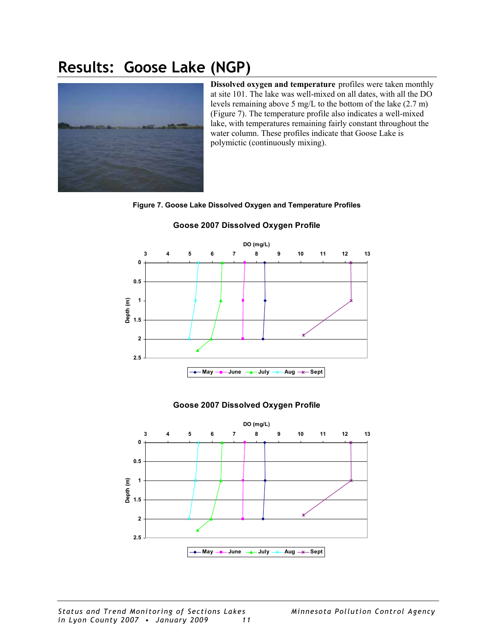### <span id="page-14-0"></span>**Results: Goose Lake (NGP)**



**Dissolved oxygen and temperature** profiles were taken monthly at site 101. The lake was well-mixed on all dates, with all the DO levels remaining above 5 mg/L to the bottom of the lake (2.7 m) (Figure 7). The temperature profile also indicates a well-mixed lake, with temperatures remaining fairly constant throughout the water column. These profiles indicate that Goose Lake is polymictic (continuously mixing).

#### **Figure 7. Goose Lake Dissolved Oxygen and Temperature Profiles**



#### **Goose 2007 Dissolved Oxygen Profile**

#### **Goose 2007 Dissolved Oxygen Profile**

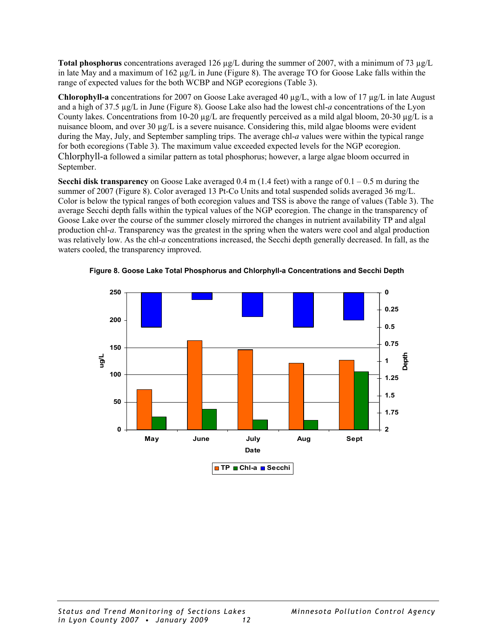<span id="page-15-0"></span>**Total phosphorus** concentrations averaged 126  $\mu$ g/L during the summer of 2007, with a minimum of 73  $\mu$ g/L in late May and a maximum of 162 µg/L in June (Figure 8). The average TO for Goose Lake falls within the range of expected values for the both WCBP and NGP ecoregions (Table 3).

**Chlorophyll-a** concentrations for 2007 on Goose Lake averaged 40 µg/L, with a low of 17 µg/L in late August and a high of 37.5 µg/L in June (Figure 8). Goose Lake also had the lowest chl-*a* concentrations of the Lyon County lakes. Concentrations from 10-20  $\mu$ g/L are frequently perceived as a mild algal bloom, 20-30  $\mu$ g/L is a nuisance bloom, and over 30  $\mu$ g/L is a severe nuisance. Considering this, mild algae blooms were evident during the May, July, and September sampling trips. The average chl-*a* values were within the typical range for both ecoregions (Table 3). The maximum value exceeded expected levels for the NGP ecoregion. Chlorphyll-a followed a similar pattern as total phosphorus; however, a large algae bloom occurred in September.

**Secchi disk transparency** on Goose Lake averaged  $0.4$  m (1.4 feet) with a range of  $0.1 - 0.5$  m during the summer of 2007 (Figure 8). Color averaged 13 Pt-Co Units and total suspended solids averaged 36 mg/L. Color is below the typical ranges of both ecoregion values and TSS is above the range of values (Table 3). The average Secchi depth falls within the typical values of the NGP ecoregion. The change in the transparency of Goose Lake over the course of the summer closely mirrored the changes in nutrient availability TP and algal production chl-*a*. Transparency was the greatest in the spring when the waters were cool and algal production was relatively low. As the chl-*a* concentrations increased, the Secchi depth generally decreased. In fall, as the waters cooled, the transparency improved.



**Figure 8. Goose Lake Total Phosphorus and Chlorphyll-a Concentrations and Secchi Depth**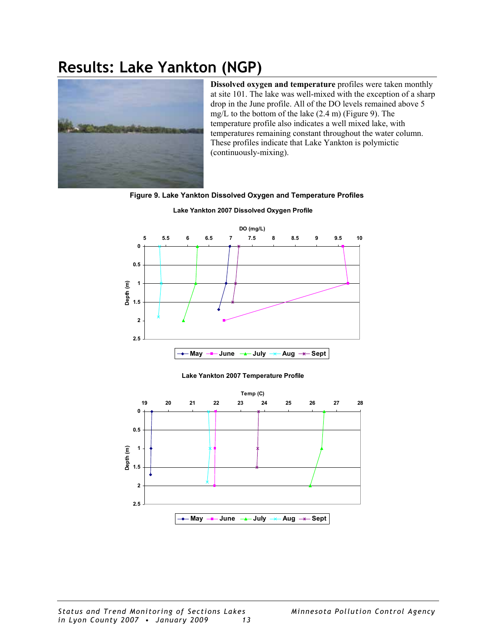### <span id="page-16-0"></span>**Results: Lake Yankton (NGP)**



**Dissolved oxygen and temperature** profiles were taken monthly at site 101. The lake was well-mixed with the exception of a sharp drop in the June profile. All of the DO levels remained above 5 mg/L to the bottom of the lake (2.4 m) (Figure 9). The temperature profile also indicates a well mixed lake, with temperatures remaining constant throughout the water column. These profiles indicate that Lake Yankton is polymictic (continuously-mixing).

#### **Figure 9. Lake Yankton Dissolved Oxygen and Temperature Profiles**



**Lake Yankton 2007 Dissolved Oxygen Profile**

#### **Lake Yankton 2007 Temperature Profile**

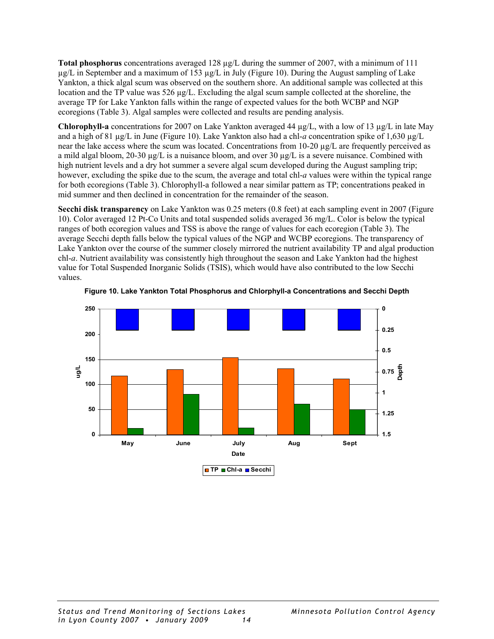<span id="page-17-0"></span>**Total phosphorus** concentrations averaged 128 µg/L during the summer of 2007, with a minimum of 111 µg/L in September and a maximum of 153 µg/L in July (Figure 10). During the August sampling of Lake Yankton, a thick algal scum was observed on the southern shore. An additional sample was collected at this location and the TP value was 526 µg/L. Excluding the algal scum sample collected at the shoreline, the average TP for Lake Yankton falls within the range of expected values for the both WCBP and NGP ecoregions (Table 3). Algal samples were collected and results are pending analysis.

**Chlorophyll-a** concentrations for 2007 on Lake Yankton averaged 44 µg/L, with a low of 13 µg/L in late May and a high of 81 µg/L in June (Figure 10). Lake Yankton also had a chl-*a* concentration spike of 1,630 µg/L near the lake access where the scum was located. Concentrations from 10-20 µg/L are frequently perceived as a mild algal bloom, 20-30  $\mu$ g/L is a nuisance bloom, and over 30  $\mu$ g/L is a severe nuisance. Combined with high nutrient levels and a dry hot summer a severe algal scum developed during the August sampling trip; however, excluding the spike due to the scum, the average and total chl-*a* values were within the typical range for both ecoregions (Table 3). Chlorophyll-a followed a near similar pattern as TP; concentrations peaked in mid summer and then declined in concentration for the remainder of the season.

**Secchi disk transparency** on Lake Yankton was 0.25 meters (0.8 feet) at each sampling event in 2007 (Figure 10). Color averaged 12 Pt-Co Units and total suspended solids averaged 36 mg/L. Color is below the typical ranges of both ecoregion values and TSS is above the range of values for each ecoregion (Table 3). The average Secchi depth falls below the typical values of the NGP and WCBP ecoregions. The transparency of Lake Yankton over the course of the summer closely mirrored the nutrient availability TP and algal production chl-*a*. Nutrient availability was consistently high throughout the season and Lake Yankton had the highest value for Total Suspended Inorganic Solids (TSIS), which would have also contributed to the low Secchi values.



**Figure 10. Lake Yankton Total Phosphorus and Chlorphyll-a Concentrations and Secchi Depth**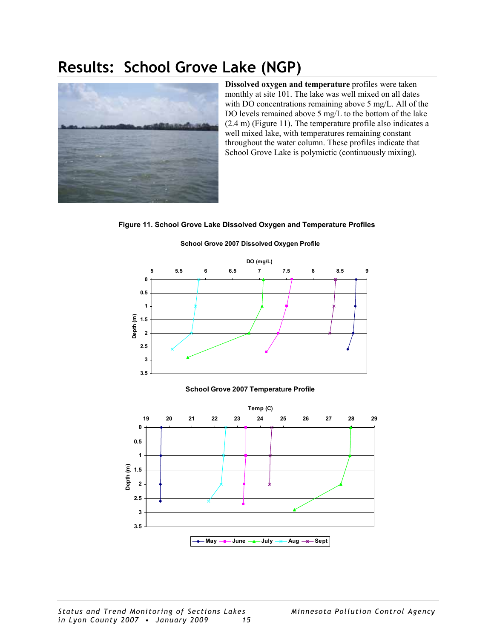### <span id="page-18-0"></span>**Results: School Grove Lake (NGP)**



**Dissolved oxygen and temperature** profiles were taken monthly at site 101. The lake was well mixed on all dates with DO concentrations remaining above 5 mg/L. All of the DO levels remained above 5 mg/L to the bottom of the lake (2.4 m) (Figure 11). The temperature profile also indicates a well mixed lake, with temperatures remaining constant throughout the water column. These profiles indicate that School Grove Lake is polymictic (continuously mixing).

**Figure 11. School Grove Lake Dissolved Oxygen and Temperature Profiles** 



#### **School Grove 2007 Dissolved Oxygen Profile**

#### **May June July Aug Sept School Grove 2007 Temperature Profile**

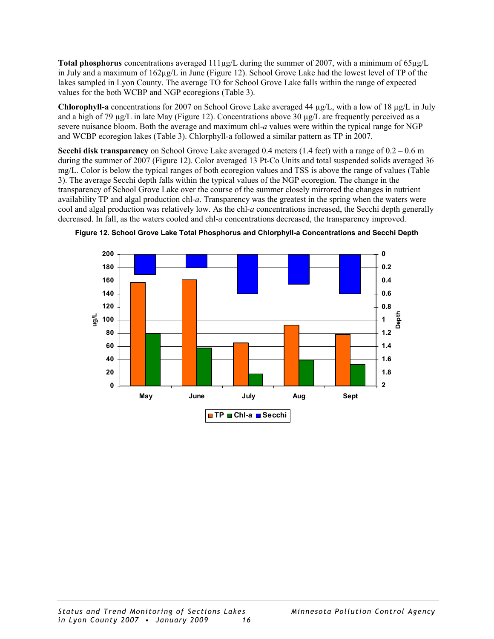<span id="page-19-0"></span>**Total phosphorus** concentrations averaged 111µg/L during the summer of 2007, with a minimum of 65µg/L in July and a maximum of  $162\mu g/L$  in June (Figure 12). School Grove Lake had the lowest level of TP of the lakes sampled in Lyon County. The average TO for School Grove Lake falls within the range of expected values for the both WCBP and NGP ecoregions (Table 3).

**Chlorophyll-a** concentrations for 2007 on School Grove Lake averaged 44 µg/L, with a low of 18 µg/L in July and a high of 79  $\mu$ g/L in late May (Figure 12). Concentrations above 30  $\mu$ g/L are frequently perceived as a severe nuisance bloom. Both the average and maximum chl-*a* values were within the typical range for NGP and WCBP ecoregion lakes (Table 3). Chlorphyll-a followed a similar pattern as TP in 2007.

**Secchi disk transparency** on School Grove Lake averaged 0.4 meters (1.4 feet) with a range of 0.2 – 0.6 m during the summer of 2007 (Figure 12). Color averaged 13 Pt-Co Units and total suspended solids averaged 36 mg/L. Color is below the typical ranges of both ecoregion values and TSS is above the range of values (Table 3). The average Secchi depth falls within the typical values of the NGP ecoregion. The change in the transparency of School Grove Lake over the course of the summer closely mirrored the changes in nutrient availability TP and algal production chl-*a*. Transparency was the greatest in the spring when the waters were cool and algal production was relatively low. As the chl-*a* concentrations increased, the Secchi depth generally decreased. In fall, as the waters cooled and chl-*a* concentrations decreased, the transparency improved.



**Figure 12. School Grove Lake Total Phosphorus and Chlorphyll-a Concentrations and Secchi Depth**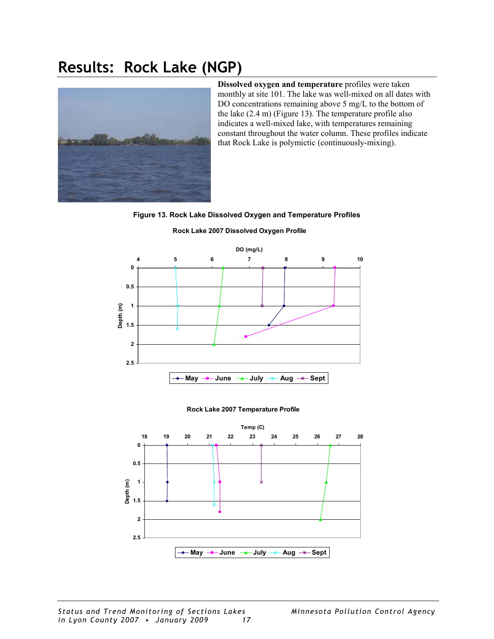### <span id="page-20-0"></span>**Results: Rock Lake (NGP)**



**Dissolved oxygen and temperature** profiles were taken monthly at site 101. The lake was well-mixed on all dates with DO concentrations remaining above 5 mg/L to the bottom of the lake (2.4 m) (Figure 13). The temperature profile also indicates a well-mixed lake, with temperatures remaining constant throughout the water column. These profiles indicate that Rock Lake is polymictic (continuously-mixing).

**Figure 13. Rock Lake Dissolved Oxygen and Temperature Profiles** 



**Rock Lake 2007 Dissolved Oxygen Profile**

#### **Rock Lake 2007 Temperature Profile**

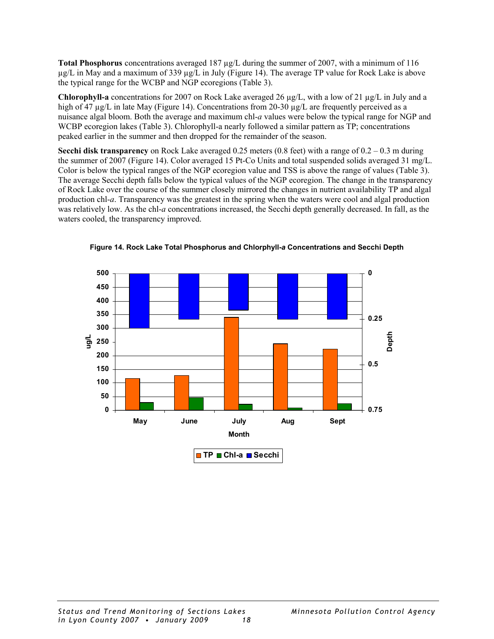<span id="page-21-0"></span>**Total Phosphorus** concentrations averaged 187 µg/L during the summer of 2007, with a minimum of 116  $\mu$ g/L in May and a maximum of 339  $\mu$ g/L in July (Figure 14). The average TP value for Rock Lake is above the typical range for the WCBP and NGP ecoregions (Table 3).

**Chlorophyll-a** concentrations for 2007 on Rock Lake averaged 26 µg/L, with a low of 21 µg/L in July and a high of 47 µg/L in late May (Figure 14). Concentrations from 20-30 µg/L are frequently perceived as a nuisance algal bloom. Both the average and maximum chl-*a* values were below the typical range for NGP and WCBP ecoregion lakes (Table 3). Chlorophyll-a nearly followed a similar pattern as TP; concentrations peaked earlier in the summer and then dropped for the remainder of the season.

**Secchi disk transparency** on Rock Lake averaged 0.25 meters (0.8 feet) with a range of 0.2 – 0.3 m during the summer of 2007 (Figure 14). Color averaged 15 Pt-Co Units and total suspended solids averaged 31 mg/L. Color is below the typical ranges of the NGP ecoregion value and TSS is above the range of values (Table 3). The average Secchi depth falls below the typical values of the NGP ecoregion. The change in the transparency of Rock Lake over the course of the summer closely mirrored the changes in nutrient availability TP and algal production chl-*a*. Transparency was the greatest in the spring when the waters were cool and algal production was relatively low. As the chl-*a* concentrations increased, the Secchi depth generally decreased. In fall, as the waters cooled, the transparency improved.



**Figure 14. Rock Lake Total Phosphorus and Chlorphyll-***a* **Concentrations and Secchi Depth**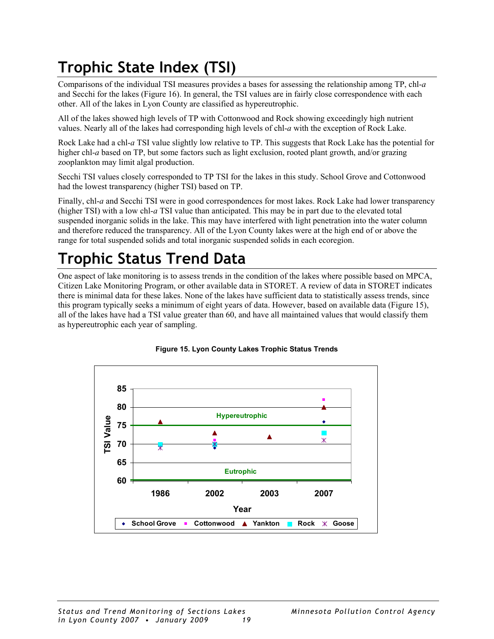## <span id="page-22-0"></span>**Trophic State Index (TSI)**

Comparisons of the individual TSI measures provides a bases for assessing the relationship among TP, chl-*a* and Secchi for the lakes (Figure 16). In general, the TSI values are in fairly close correspondence with each other. All of the lakes in Lyon County are classified as hypereutrophic.

All of the lakes showed high levels of TP with Cottonwood and Rock showing exceedingly high nutrient values. Nearly all of the lakes had corresponding high levels of chl-*a* with the exception of Rock Lake.

Rock Lake had a chl-*a* TSI value slightly low relative to TP. This suggests that Rock Lake has the potential for higher chl-*a* based on TP, but some factors such as light exclusion, rooted plant growth, and/or grazing zooplankton may limit algal production.

Secchi TSI values closely corresponded to TP TSI for the lakes in this study. School Grove and Cottonwood had the lowest transparency (higher TSI) based on TP.

Finally, chl-*a* and Secchi TSI were in good correspondences for most lakes. Rock Lake had lower transparency (higher TSI) with a low chl-*a* TSI value than anticipated. This may be in part due to the elevated total suspended inorganic solids in the lake. This may have interfered with light penetration into the water column and therefore reduced the transparency. All of the Lyon County lakes were at the high end of or above the range for total suspended solids and total inorganic suspended solids in each ecoregion.

## **Trophic Status Trend Data**

One aspect of lake monitoring is to assess trends in the condition of the lakes where possible based on MPCA, Citizen Lake Monitoring Program, or other available data in STORET. A review of data in STORET indicates there is minimal data for these lakes. None of the lakes have sufficient data to statistically assess trends, since this program typically seeks a minimum of eight years of data. However, based on available data (Figure 15), all of the lakes have had a TSI value greater than 60, and have all maintained values that would classify them as hypereutrophic each year of sampling.



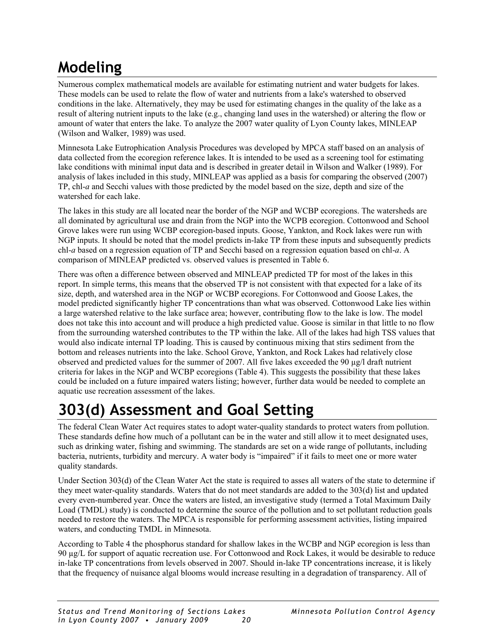## <span id="page-23-0"></span>**Modeling**

Numerous complex mathematical models are available for estimating nutrient and water budgets for lakes. These models can be used to relate the flow of water and nutrients from a lake's watershed to observed conditions in the lake. Alternatively, they may be used for estimating changes in the quality of the lake as a result of altering nutrient inputs to the lake (e.g., changing land uses in the watershed) or altering the flow or amount of water that enters the lake. To analyze the 2007 water quality of Lyon County lakes, MINLEAP (Wilson and Walker, 1989) was used.

Minnesota Lake Eutrophication Analysis Procedures was developed by MPCA staff based on an analysis of data collected from the ecoregion reference lakes. It is intended to be used as a screening tool for estimating lake conditions with minimal input data and is described in greater detail in Wilson and Walker (1989). For analysis of lakes included in this study, MINLEAP was applied as a basis for comparing the observed (2007) TP, chl-*a* and Secchi values with those predicted by the model based on the size, depth and size of the watershed for each lake.

The lakes in this study are all located near the border of the NGP and WCBP ecoregions. The watersheds are all dominated by agricultural use and drain from the NGP into the WCPB ecoregion. Cottonwood and School Grove lakes were run using WCBP ecoregion-based inputs. Goose, Yankton, and Rock lakes were run with NGP inputs. It should be noted that the model predicts in-lake TP from these inputs and subsequently predicts chl-*a* based on a regression equation of TP and Secchi based on a regression equation based on chl-*a*. A comparison of MINLEAP predicted vs. observed values is presented in Table 6.

There was often a difference between observed and MINLEAP predicted TP for most of the lakes in this report. In simple terms, this means that the observed TP is not consistent with that expected for a lake of its size, depth, and watershed area in the NGP or WCBP ecoregions. For Cottonwood and Goose Lakes, the model predicted significantly higher TP concentrations than what was observed. Cottonwood Lake lies within a large watershed relative to the lake surface area; however, contributing flow to the lake is low. The model does not take this into account and will produce a high predicted value. Goose is similar in that little to no flow from the surrounding watershed contributes to the TP within the lake. All of the lakes had high TSS values that would also indicate internal TP loading. This is caused by continuous mixing that stirs sediment from the bottom and releases nutrients into the lake. School Grove, Yankton, and Rock Lakes had relatively close observed and predicted values for the summer of 2007. All five lakes exceeded the 90 µg/l draft nutrient criteria for lakes in the NGP and WCBP ecoregions (Table 4). This suggests the possibility that these lakes could be included on a future impaired waters listing; however, further data would be needed to complete an aquatic use recreation assessment of the lakes.

## **303(d) Assessment and Goal Setting**

The federal Clean Water Act requires states to adopt water-quality standards to protect waters from pollution. These standards define how much of a pollutant can be in the water and still allow it to meet designated uses, such as drinking water, fishing and swimming. The standards are set on a wide range of pollutants, including bacteria, nutrients, turbidity and mercury. A water body is "impaired" if it fails to meet one or more water quality standards.

Under Section 303(d) of the Clean Water Act the state is required to asses all waters of the state to determine if they meet water-quality standards. Waters that do not meet standards are added to the 303(d) list and updated every even-numbered year. Once the waters are listed, an investigative study (termed a Total Maximum Daily Load (TMDL) study) is conducted to determine the source of the pollution and to set pollutant reduction goals needed to restore the waters. The MPCA is responsible for performing assessment activities, listing impaired waters, and conducting TMDL in Minnesota.

According to Table 4 the phosphorus standard for shallow lakes in the WCBP and NGP ecoregion is less than 90 µg/L for support of aquatic recreation use. For Cottonwood and Rock Lakes, it would be desirable to reduce in-lake TP concentrations from levels observed in 2007. Should in-lake TP concentrations increase, it is likely that the frequency of nuisance algal blooms would increase resulting in a degradation of transparency. All of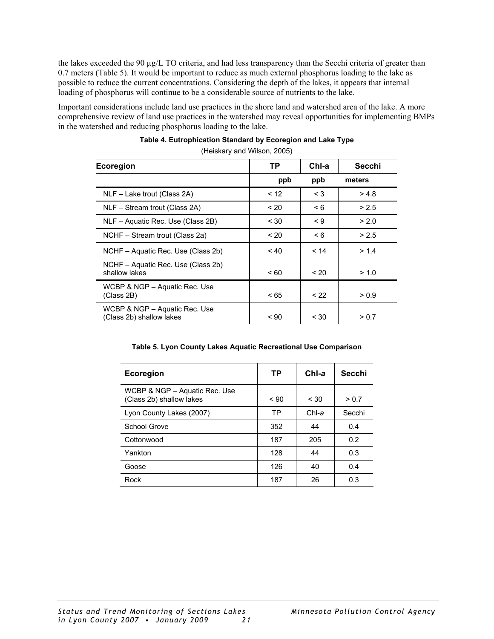<span id="page-24-0"></span>the lakes exceeded the 90 µg/L TO criteria, and had less transparency than the Secchi criteria of greater than 0.7 meters (Table 5). It would be important to reduce as much external phosphorus loading to the lake as possible to reduce the current concentrations. Considering the depth of the lakes, it appears that internal loading of phosphorus will continue to be a considerable source of nutrients to the lake.

Important considerations include land use practices in the shore land and watershed area of the lake. A more comprehensive review of land use practices in the watershed may reveal opportunities for implementing BMPs in the watershed and reducing phosphorus loading to the lake.

| Ecoregion                                                 | TP      | Chl-a    | Secchi |
|-----------------------------------------------------------|---------|----------|--------|
|                                                           | ppb     | ppb      | meters |
| NLF - Lake trout (Class 2A)                               | < 12    | $\leq 3$ | > 4.8  |
| NLF – Stream trout (Class 2A)                             | ~120    | $\leq 6$ | > 2.5  |
| NLF - Aquatic Rec. Use (Class 2B)                         | $~<$ 30 | $\leq 9$ | > 2.0  |
| NCHF – Stream trout (Class 2a)                            | ~120    | $\leq 6$ | > 2.5  |
| NCHF - Aquatic Rec. Use (Class 2b)                        | ~10     | < 14     | > 1.4  |
| NCHF – Aquatic Rec. Use (Class 2b)<br>shallow lakes       | ~< 60   | < 20     | > 1.0  |
| WCBP & NGP - Aquatic Rec. Use<br>(Class 2B)               | ~< 65   | < 22     | > 0.9  |
| WCBP & NGP - Aquatic Rec. Use<br>(Class 2b) shallow lakes | ~< 90   | $~<$ 30  | > 0.7  |

#### **Table 4. Eutrophication Standard by Ecoregion and Lake Type**  (Heiskary and Wilson, 2005)

#### **Table 5. Lyon County Lakes Aquatic Recreational Use Comparison**

| Ecoregion                                                 | ТP    | $ChI-a$ | Secchi |
|-----------------------------------------------------------|-------|---------|--------|
| WCBP & NGP - Aquatic Rec. Use<br>(Class 2b) shallow lakes | ~< 90 | $~<$ 30 | > 0.7  |
| Lyon County Lakes (2007)                                  | TP    | $ChI-a$ | Secchi |
| School Grove                                              | 352   | 44      | 0.4    |
| Cottonwood                                                | 187   | 205     | 0.2    |
| Yankton                                                   | 128   | 44      | 0.3    |
| Goose                                                     | 126   | 40      | 0.4    |
| Rock                                                      | 187   | 26      | 0.3    |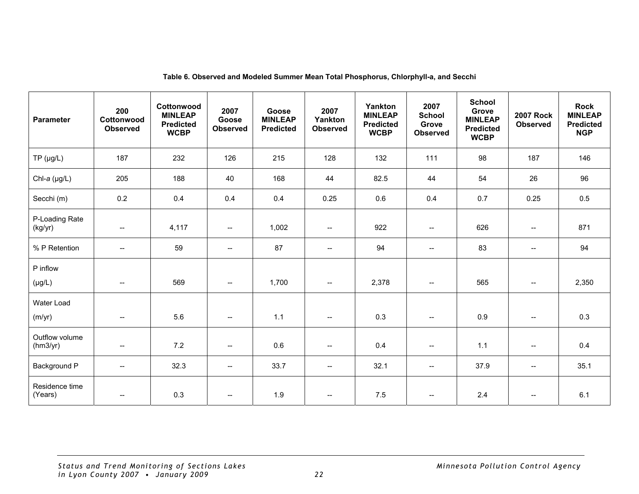<span id="page-25-0"></span>

| <b>Parameter</b>           | 200<br>Cottonwood<br><b>Observed</b>          | Cottonwood<br><b>MINLEAP</b><br><b>Predicted</b><br><b>WCBP</b> | 2007<br>Goose<br><b>Observed</b>                    | Goose<br><b>MINLEAP</b><br><b>Predicted</b> | 2007<br>Yankton<br><b>Observed</b>                                                                            | Yankton<br><b>MINLEAP</b><br><b>Predicted</b><br><b>WCBP</b> | 2007<br><b>School</b><br>Grove<br><b>Observed</b>                                                             | <b>School</b><br>Grove<br><b>MINLEAP</b><br><b>Predicted</b><br><b>WCBP</b> | <b>2007 Rock</b><br><b>Observed</b> | <b>Rock</b><br><b>MINLEAP</b><br><b>Predicted</b><br><b>NGP</b> |
|----------------------------|-----------------------------------------------|-----------------------------------------------------------------|-----------------------------------------------------|---------------------------------------------|---------------------------------------------------------------------------------------------------------------|--------------------------------------------------------------|---------------------------------------------------------------------------------------------------------------|-----------------------------------------------------------------------------|-------------------------------------|-----------------------------------------------------------------|
| $TP(\mu g/L)$              | 187                                           | 232                                                             | 126                                                 | 215                                         | 128                                                                                                           | 132                                                          | 111                                                                                                           | 98                                                                          | 187                                 | 146                                                             |
| Chl-a $(\mu g/L)$          | 205                                           | 188                                                             | 40                                                  | 168                                         | 44                                                                                                            | 82.5                                                         | 44                                                                                                            | 54                                                                          | 26                                  | 96                                                              |
| Secchi (m)                 | 0.2                                           | 0.4                                                             | 0.4                                                 | 0.4                                         | 0.25                                                                                                          | 0.6                                                          | 0.4                                                                                                           | 0.7                                                                         | 0.25                                | 0.5                                                             |
| P-Loading Rate<br>(kg/yr)  | $\mathord{\hspace{1pt}\text{--}\hspace{1pt}}$ | 4,117                                                           | $\overline{\phantom{a}}$                            | 1,002                                       | $\mathrel{{\mathop{\rightharpoonup}}\mathrel{{\mathop{\rightharpoonup}}\mathrel{{\mathop{\rightharpoonup}}}}$ | 922                                                          | $\mathrel{{\mathop{\rightharpoonup}}\mathrel{{\mathop{\rightharpoonup}}\mathrel{{\mathop{\rightharpoonup}}}}$ | 626                                                                         | $\overline{\phantom{a}}$            | 871                                                             |
| % P Retention              | --                                            | 59                                                              | $\overline{\phantom{a}}$                            | 87                                          | $\overline{\phantom{a}}$                                                                                      | 94                                                           | $\overline{\phantom{a}}$                                                                                      | 83                                                                          | $\overline{\phantom{a}}$            | 94                                                              |
| P inflow<br>$(\mu g/L)$    | $\overline{\phantom{m}}$                      | 569                                                             | $- -$                                               | 1,700                                       | $\hspace{0.05cm} -\hspace{0.05cm} -\hspace{0.05cm}$                                                           | 2,378                                                        | $\mathrel{{\mathop{\rightharpoonup}}\mathrel{{\mathop{\rightharpoonup}}\mathrel{{\mathop{\rightharpoonup}}}}$ | 565                                                                         | $\overline{\phantom{a}}$            | 2,350                                                           |
| Water Load<br>(m/yr)       | $\overline{\phantom{m}}$                      | 5.6                                                             | $\hspace{0.05cm} -\hspace{0.05cm} -\hspace{0.05cm}$ | 1.1                                         | $\hspace{0.05cm}$ $\hspace{0.05cm}$                                                                           | 0.3                                                          | $\hspace{0.05cm} \dashrightarrow$                                                                             | 0.9                                                                         | $\hspace{0.05cm} \dashrightarrow$   | 0.3                                                             |
| Outflow volume<br>(hm3/yr) | $\hspace{0.05cm}$ –                           | 7.2                                                             | $\overline{\phantom{a}}$                            | 0.6                                         | $\overline{\phantom{a}}$                                                                                      | 0.4                                                          | $\overline{\phantom{a}}$                                                                                      | 1.1                                                                         | $\overline{\phantom{a}}$            | 0.4                                                             |
| Background P               | $\overline{\phantom{a}}$                      | 32.3                                                            | $- -$                                               | 33.7                                        | $\overline{\phantom{a}}$                                                                                      | 32.1                                                         | $- -$                                                                                                         | 37.9                                                                        | $\overline{\phantom{a}}$            | 35.1                                                            |
| Residence time<br>(Years)  | --                                            | 0.3                                                             | $\hspace{0.05cm} -\hspace{0.05cm} -\hspace{0.05cm}$ | 1.9                                         | $\overline{\phantom{a}}$                                                                                      | 7.5                                                          | $- -$                                                                                                         | 2.4                                                                         | $\overline{\phantom{a}}$            | 6.1                                                             |

#### **Table 6. Observed and Modeled Summer Mean Total Phosphorus, Chlorphyll-a, and Secchi**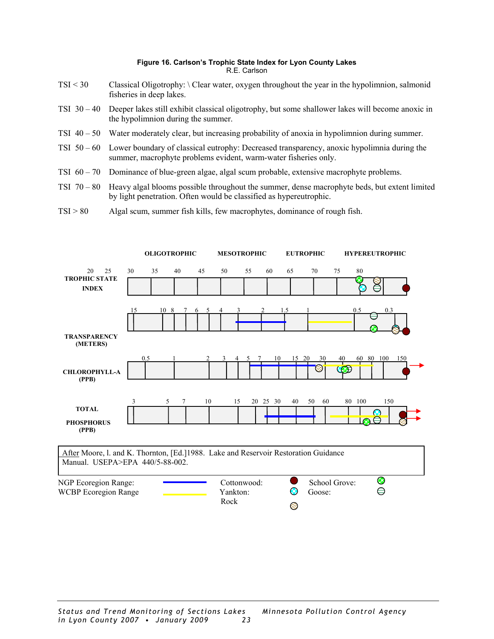#### **Figure 16. Carlson's Trophic State Index for Lyon County Lakes**  R.E. Carlson

- <span id="page-26-0"></span>TSI < 30 Classical Oligotrophy: \ Clear water, oxygen throughout the year in the hypolimnion, salmonid fisheries in deep lakes.
- TSI 30 40 Deeper lakes still exhibit classical oligotrophy, but some shallower lakes will become anoxic in the hypolimnion during the summer.
- TSI 40 50 Water moderately clear, but increasing probability of anoxia in hypolimnion during summer.
- TSI 50 60 Lower boundary of classical eutrophy: Decreased transparency, anoxic hypolimnia during the summer, macrophyte problems evident, warm-water fisheries only.
- TSI 60 70 Dominance of blue-green algae, algal scum probable, extensive macrophyte problems.
- TSI  $70 80$  Heavy algal blooms possible throughout the summer, dense macrophyte beds, but extent limited by light penetration. Often would be classified as hypereutrophic.
- TSI > 80 Algal scum, summer fish kills, few macrophytes, dominance of rough fish.

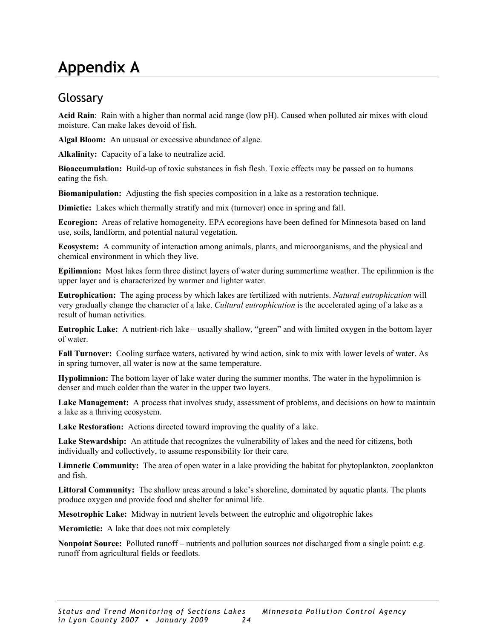### <span id="page-27-0"></span>**Appendix A**

### Glossary

**Acid Rain**: Rain with a higher than normal acid range (low pH). Caused when polluted air mixes with cloud moisture. Can make lakes devoid of fish.

**Algal Bloom:** An unusual or excessive abundance of algae.

**Alkalinity:** Capacity of a lake to neutralize acid.

**Bioaccumulation:** Build-up of toxic substances in fish flesh. Toxic effects may be passed on to humans eating the fish.

**Biomanipulation:** Adjusting the fish species composition in a lake as a restoration technique.

**Dimictic:** Lakes which thermally stratify and mix (turnover) once in spring and fall.

**Ecoregion:** Areas of relative homogeneity. EPA ecoregions have been defined for Minnesota based on land use, soils, landform, and potential natural vegetation.

**Ecosystem:** A community of interaction among animals, plants, and microorganisms, and the physical and chemical environment in which they live.

**Epilimnion:** Most lakes form three distinct layers of water during summertime weather. The epilimnion is the upper layer and is characterized by warmer and lighter water.

**Eutrophication:** The aging process by which lakes are fertilized with nutrients. *Natural eutrophication* will very gradually change the character of a lake. *Cultural eutrophication* is the accelerated aging of a lake as a result of human activities.

**Eutrophic Lake:** A nutrient-rich lake – usually shallow, "green" and with limited oxygen in the bottom layer of water.

**Fall Turnover:** Cooling surface waters, activated by wind action, sink to mix with lower levels of water. As in spring turnover, all water is now at the same temperature.

**Hypolimnion:** The bottom layer of lake water during the summer months. The water in the hypolimnion is denser and much colder than the water in the upper two layers.

Lake Management: A process that involves study, assessment of problems, and decisions on how to maintain a lake as a thriving ecosystem.

**Lake Restoration:** Actions directed toward improving the quality of a lake.

**Lake Stewardship:** An attitude that recognizes the vulnerability of lakes and the need for citizens, both individually and collectively, to assume responsibility for their care.

**Limnetic Community:** The area of open water in a lake providing the habitat for phytoplankton, zooplankton and fish.

**Littoral Community:** The shallow areas around a lake's shoreline, dominated by aquatic plants. The plants produce oxygen and provide food and shelter for animal life.

**Mesotrophic Lake:** Midway in nutrient levels between the eutrophic and oligotrophic lakes

**Meromictic:** A lake that does not mix completely

**Nonpoint Source:** Polluted runoff – nutrients and pollution sources not discharged from a single point: e.g. runoff from agricultural fields or feedlots.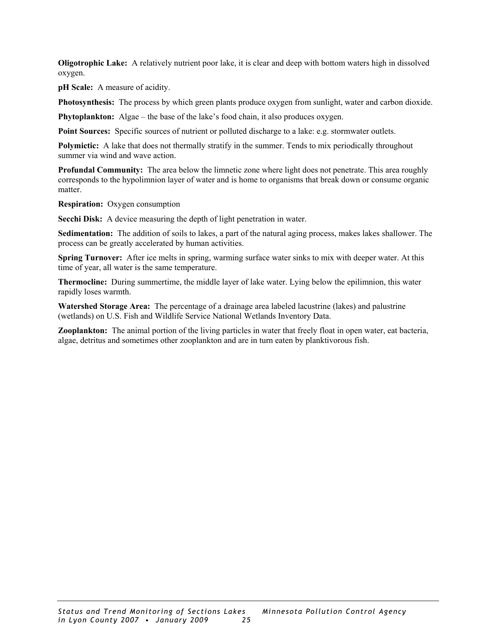**Oligotrophic Lake:** A relatively nutrient poor lake, it is clear and deep with bottom waters high in dissolved oxygen.

**pH Scale:** A measure of acidity.

**Photosynthesis:** The process by which green plants produce oxygen from sunlight, water and carbon dioxide.

**Phytoplankton:** Algae – the base of the lake's food chain, it also produces oxygen.

**Point Sources:** Specific sources of nutrient or polluted discharge to a lake: e.g. stormwater outlets.

Polymictic: A lake that does not thermally stratify in the summer. Tends to mix periodically throughout summer via wind and wave action.

**Profundal Community:** The area below the limnetic zone where light does not penetrate. This area roughly corresponds to the hypolimnion layer of water and is home to organisms that break down or consume organic matter.

**Respiration:** Oxygen consumption

**Secchi Disk:** A device measuring the depth of light penetration in water.

**Sedimentation:** The addition of soils to lakes, a part of the natural aging process, makes lakes shallower. The process can be greatly accelerated by human activities.

**Spring Turnover:** After ice melts in spring, warming surface water sinks to mix with deeper water. At this time of year, all water is the same temperature.

**Thermocline:** During summertime, the middle layer of lake water. Lying below the epilimnion, this water rapidly loses warmth.

**Watershed Storage Area:** The percentage of a drainage area labeled lacustrine (lakes) and palustrine (wetlands) on U.S. Fish and Wildlife Service National Wetlands Inventory Data.

**Zooplankton:** The animal portion of the living particles in water that freely float in open water, eat bacteria, algae, detritus and sometimes other zooplankton and are in turn eaten by planktivorous fish.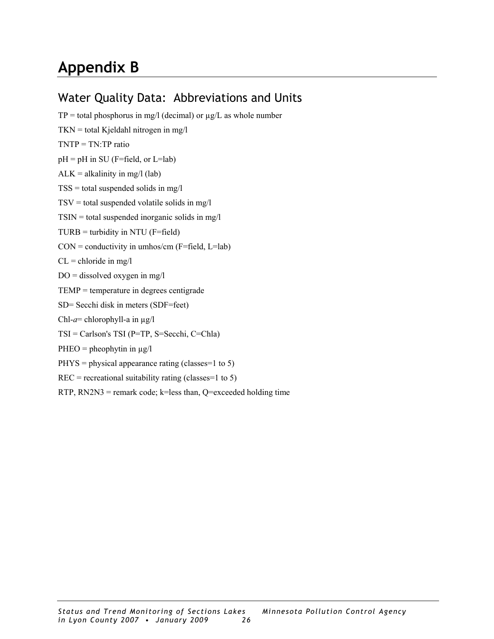### <span id="page-29-0"></span>**Appendix B**

### Water Quality Data: Abbreviations and Units

 $TP =$  total phosphorus in mg/l (decimal) or  $\mu$ g/L as whole number  $TKN = total$  Kjeldahl nitrogen in mg/l TNTP = TN:TP ratio  $pH = pH$  in SU (F=field, or L=lab)  $ALK = alkalinity$  in mg/l (lab)  $TSS =$  total suspended solids in mg/l  $TSV = total suspended volatile solids in mg/l$  $TSIN = total suspended inorganic solids in mg/l$  $TURB =$  turbidity in NTU (F=field)  $CON = conductivity in umbos/cm (F=field, L=lab)$  $CL =$  chloride in mg/l  $DO =$  dissolved oxygen in mg/l TEMP = temperature in degrees centigrade SD= Secchi disk in meters (SDF=feet) Chl-*a*= chlorophyll-a in µg/l TSI = Carlson's TSI (P=TP, S=Secchi, C=Chla)  $PHEO = pheophytin in µg/l$  $PHYS = physical appearance rating (classes=1 to 5)$  $REC = recreational$  suitability rating (classes=1 to 5)

RTP,  $RN2N3$  = remark code; k=less than, Q=exceeded holding time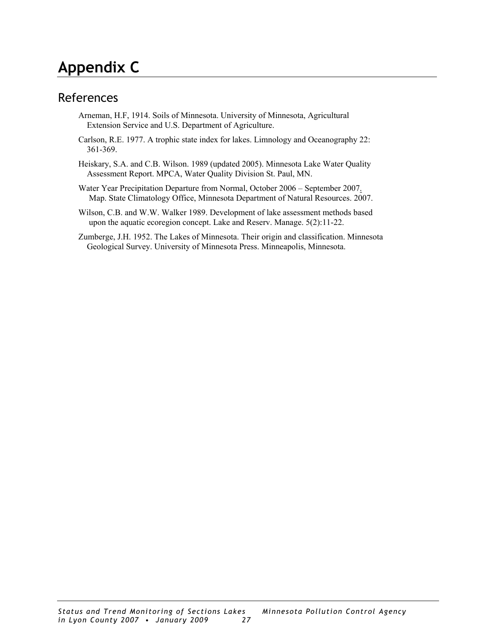### <span id="page-30-0"></span>**Appendix C**

### References

- Arneman, H.F, 1914. Soils of Minnesota. University of Minnesota, Agricultural Extension Service and U.S. Department of Agriculture.
- Carlson, R.E. 1977. A trophic state index for lakes. Limnology and Oceanography 22: 361-369.
- Heiskary, S.A. and C.B. Wilson. 1989 (updated 2005). Minnesota Lake Water Quality Assessment Report. MPCA, Water Quality Division St. Paul, MN.
- Water Year Precipitation Departure from Normal, October 2006 September 2007. Map. State Climatology Office, Minnesota Department of Natural Resources. 2007.
- Wilson, C.B. and W.W. Walker 1989. Development of lake assessment methods based upon the aquatic ecoregion concept. Lake and Reserv. Manage. 5(2):11-22.
- Zumberge, J.H. 1952. The Lakes of Minnesota. Their origin and classification. Minnesota Geological Survey. University of Minnesota Press. Minneapolis, Minnesota.